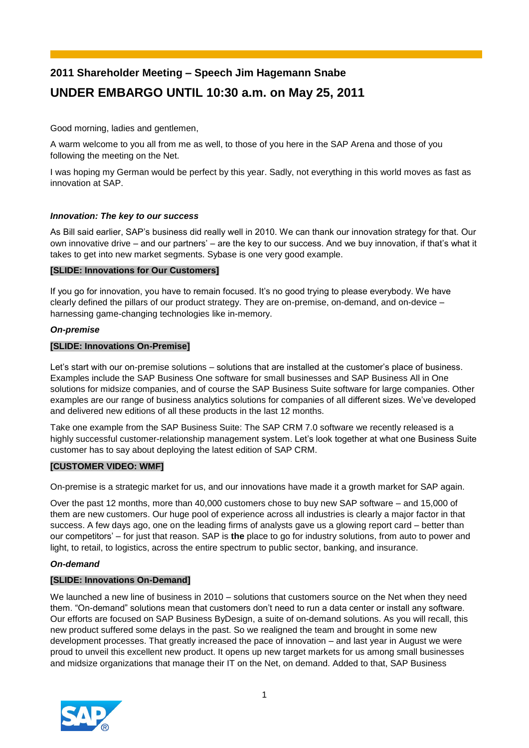# **2011 Shareholder Meeting – Speech Jim Hagemann Snabe UNDER EMBARGO UNTIL 10:30 a.m. on May 25, 2011**

Good morning, ladies and gentlemen,

A warm welcome to you all from me as well, to those of you here in the SAP Arena and those of you following the meeting on the Net.

I was hoping my German would be perfect by this year. Sadly, not everything in this world moves as fast as innovation at SAP.

## *Innovation: The key to our success*

As Bill said earlier, SAP's business did really well in 2010. We can thank our innovation strategy for that. Our own innovative drive – and our partners' – are the key to our success. And we buy innovation, if that's what it takes to get into new market segments. Sybase is one very good example.

## **[SLIDE: Innovations for Our Customers]**

If you go for innovation, you have to remain focused. It's no good trying to please everybody. We have clearly defined the pillars of our product strategy. They are on-premise, on-demand, and on-device – harnessing game-changing technologies like in-memory.

# *On-premise*

# **[SLIDE: Innovations On-Premise]**

Let's start with our on-premise solutions – solutions that are installed at the customer's place of business. Examples include the SAP Business One software for small businesses and SAP Business All in One solutions for midsize companies, and of course the SAP Business Suite software for large companies. Other examples are our range of business analytics solutions for companies of all different sizes. We've developed and delivered new editions of all these products in the last 12 months.

Take one example from the SAP Business Suite: The SAP CRM 7.0 software we recently released is a highly successful customer-relationship management system. Let's look together at what one Business Suite customer has to say about deploying the latest edition of SAP CRM.

# **[CUSTOMER VIDEO: WMF]**

On-premise is a strategic market for us, and our innovations have made it a growth market for SAP again.

Over the past 12 months, more than 40,000 customers chose to buy new SAP software – and 15,000 of them are new customers. Our huge pool of experience across all industries is clearly a major factor in that success. A few days ago, one on the leading firms of analysts gave us a glowing report card – better than our competitors' – for just that reason. SAP is **the** place to go for industry solutions, from auto to power and light, to retail, to logistics, across the entire spectrum to public sector, banking, and insurance.

## *On-demand*

## **[SLIDE: Innovations On-Demand]**

We launched a new line of business in 2010 – solutions that customers source on the Net when they need them. "On-demand" solutions mean that customers don't need to run a data center or install any software. Our efforts are focused on SAP Business ByDesign, a suite of on-demand solutions. As you will recall, this new product suffered some delays in the past. So we realigned the team and brought in some new development processes. That greatly increased the pace of innovation – and last year in August we were proud to unveil this excellent new product. It opens up new target markets for us among small businesses and midsize organizations that manage their IT on the Net, on demand. Added to that, SAP Business

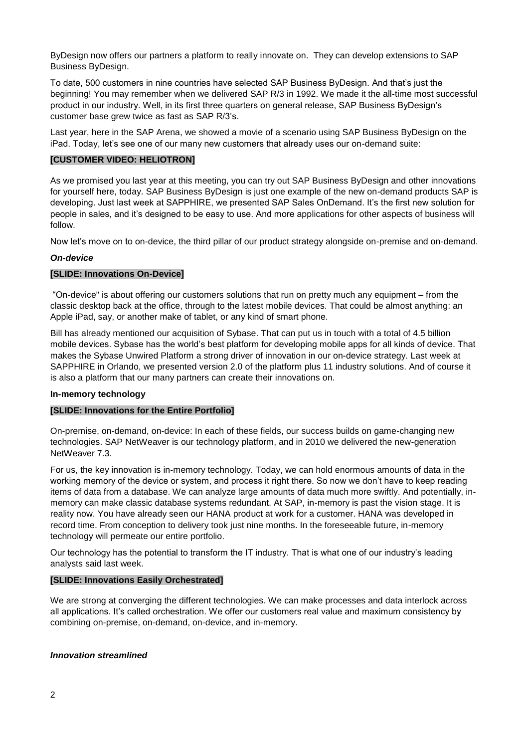ByDesign now offers our partners a platform to really innovate on. They can develop extensions to SAP Business ByDesign.

To date, 500 customers in nine countries have selected SAP Business ByDesign. And that's just the beginning! You may remember when we delivered SAP R/3 in 1992. We made it the all-time most successful product in our industry. Well, in its first three quarters on general release, SAP Business ByDesign's customer base grew twice as fast as SAP R/3's.

Last year, here in the SAP Arena, we showed a movie of a scenario using SAP Business ByDesign on the iPad. Today, let's see one of our many new customers that already uses our on-demand suite:

#### **[CUSTOMER VIDEO: HELIOTRON]**

As we promised you last year at this meeting, you can try out SAP Business ByDesign and other innovations for yourself here, today. SAP Business ByDesign is just one example of the new on-demand products SAP is developing. Just last week at SAPPHIRE, we presented SAP Sales OnDemand. It's the first new solution for people in sales, and it's designed to be easy to use. And more applications for other aspects of business will follow.

Now let's move on to on-device, the third pillar of our product strategy alongside on-premise and on-demand.

#### *On-device*

#### **[SLIDE: Innovations On-Device]**

"On-device" is about offering our customers solutions that run on pretty much any equipment – from the classic desktop back at the office, through to the latest mobile devices. That could be almost anything: an Apple iPad, say, or another make of tablet, or any kind of smart phone.

Bill has already mentioned our acquisition of Sybase. That can put us in touch with a total of 4.5 billion mobile devices. Sybase has the world's best platform for developing mobile apps for all kinds of device. That makes the Sybase Unwired Platform a strong driver of innovation in our on-device strategy. Last week at SAPPHIRE in Orlando, we presented version 2.0 of the platform plus 11 industry solutions. And of course it is also a platform that our many partners can create their innovations on.

#### **In-memory technology**

## **[SLIDE: Innovations for the Entire Portfolio]**

On-premise, on-demand, on-device: In each of these fields, our success builds on game-changing new technologies. SAP NetWeaver is our technology platform, and in 2010 we delivered the new-generation NetWeaver 7.3.

For us, the key innovation is in-memory technology. Today, we can hold enormous amounts of data in the working memory of the device or system, and process it right there. So now we don't have to keep reading items of data from a database. We can analyze large amounts of data much more swiftly. And potentially, inmemory can make classic database systems redundant. At SAP, in-memory is past the vision stage. It is reality now. You have already seen our HANA product at work for a customer. HANA was developed in record time. From conception to delivery took just nine months. In the foreseeable future, in-memory technology will permeate our entire portfolio.

Our technology has the potential to transform the IT industry. That is what one of our industry's leading analysts said last week.

## **[SLIDE: Innovations Easily Orchestrated]**

We are strong at converging the different technologies. We can make processes and data interlock across all applications. It's called orchestration. We offer our customers real value and maximum consistency by combining on-premise, on-demand, on-device, and in-memory.

## *Innovation streamlined*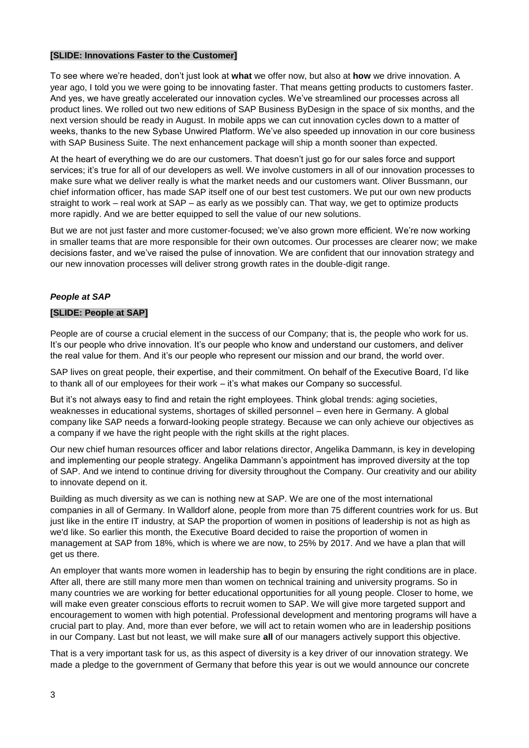#### **[SLIDE: Innovations Faster to the Customer]**

To see where we're headed, don't just look at **what** we offer now, but also at **how** we drive innovation. A year ago, I told you we were going to be innovating faster. That means getting products to customers faster. And yes, we have greatly accelerated our innovation cycles. We've streamlined our processes across all product lines. We rolled out two new editions of SAP Business ByDesign in the space of six months, and the next version should be ready in August. In mobile apps we can cut innovation cycles down to a matter of weeks, thanks to the new Sybase Unwired Platform. We've also speeded up innovation in our core business with SAP Business Suite. The next enhancement package will ship a month sooner than expected.

At the heart of everything we do are our customers. That doesn't just go for our sales force and support services; it's true for all of our developers as well. We involve customers in all of our innovation processes to make sure what we deliver really is what the market needs and our customers want. Oliver Bussmann, our chief information officer, has made SAP itself one of our best test customers. We put our own new products straight to work – real work at SAP – as early as we possibly can. That way, we get to optimize products more rapidly. And we are better equipped to sell the value of our new solutions.

But we are not just faster and more customer-focused; we've also grown more efficient. We're now working in smaller teams that are more responsible for their own outcomes. Our processes are clearer now; we make decisions faster, and we've raised the pulse of innovation. We are confident that our innovation strategy and our new innovation processes will deliver strong growth rates in the double-digit range.

# *People at SAP*

## **[SLIDE: People at SAP]**

People are of course a crucial element in the success of our Company; that is, the people who work for us. It's our people who drive innovation. It's our people who know and understand our customers, and deliver the real value for them. And it's our people who represent our mission and our brand, the world over.

SAP lives on great people, their expertise, and their commitment. On behalf of the Executive Board, I'd like to thank all of our employees for their work – it's what makes our Company so successful.

But it's not always easy to find and retain the right employees. Think global trends: aging societies, weaknesses in educational systems, shortages of skilled personnel – even here in Germany. A global company like SAP needs a forward-looking people strategy. Because we can only achieve our objectives as a company if we have the right people with the right skills at the right places.

Our new chief human resources officer and labor relations director, Angelika Dammann, is key in developing and implementing our people strategy. Angelika Dammann's appointment has improved diversity at the top of SAP. And we intend to continue driving for diversity throughout the Company. Our creativity and our ability to innovate depend on it.

Building as much diversity as we can is nothing new at SAP. We are one of the most international companies in all of Germany. In Walldorf alone, people from more than 75 different countries work for us. But just like in the entire IT industry, at SAP the proportion of women in positions of leadership is not as high as we'd like. So earlier this month, the Executive Board decided to raise the proportion of women in management at SAP from 18%, which is where we are now, to 25% by 2017. And we have a plan that will get us there.

An employer that wants more women in leadership has to begin by ensuring the right conditions are in place. After all, there are still many more men than women on technical training and university programs. So in many countries we are working for better educational opportunities for all young people. Closer to home, we will make even greater conscious efforts to recruit women to SAP. We will give more targeted support and encouragement to women with high potential. Professional development and mentoring programs will have a crucial part to play. And, more than ever before, we will act to retain women who are in leadership positions in our Company. Last but not least, we will make sure **all** of our managers actively support this objective.

That is a very important task for us, as this aspect of diversity is a key driver of our innovation strategy. We made a pledge to the government of Germany that before this year is out we would announce our concrete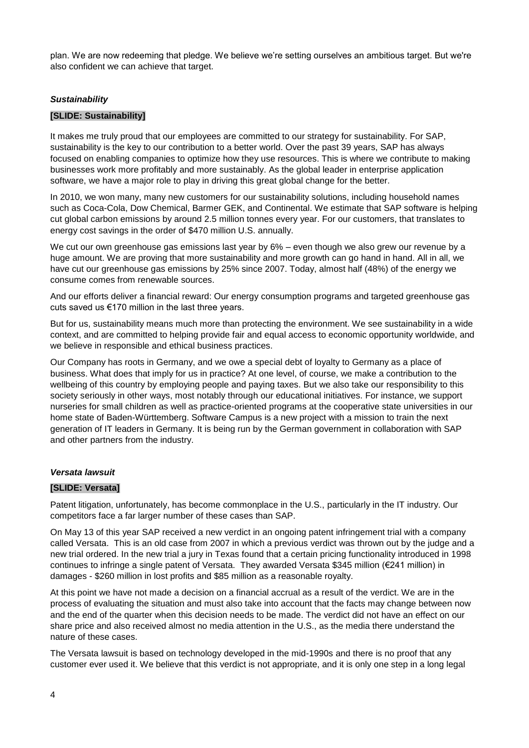plan. We are now redeeming that pledge. We believe we're setting ourselves an ambitious target. But we're also confident we can achieve that target.

## *Sustainability*

## **[SLIDE: Sustainability]**

It makes me truly proud that our employees are committed to our strategy for sustainability. For SAP, sustainability is the key to our contribution to a better world. Over the past 39 years, SAP has always focused on enabling companies to optimize how they use resources. This is where we contribute to making businesses work more profitably and more sustainably. As the global leader in enterprise application software, we have a major role to play in driving this great global change for the better.

In 2010, we won many, many new customers for our sustainability solutions, including household names such as Coca-Cola, Dow Chemical, Barmer GEK, and Continental. We estimate that SAP software is helping cut global carbon emissions by around 2.5 million tonnes every year. For our customers, that translates to energy cost savings in the order of \$470 million U.S. annually.

We cut our own greenhouse gas emissions last year by 6% – even though we also grew our revenue by a huge amount. We are proving that more sustainability and more growth can go hand in hand. All in all, we have cut our greenhouse gas emissions by 25% since 2007. Today, almost half (48%) of the energy we consume comes from renewable sources.

And our efforts deliver a financial reward: Our energy consumption programs and targeted greenhouse gas cuts saved us €170 million in the last three years.

But for us, sustainability means much more than protecting the environment. We see sustainability in a wide context, and are committed to helping provide fair and equal access to economic opportunity worldwide, and we believe in responsible and ethical business practices.

Our Company has roots in Germany, and we owe a special debt of loyalty to Germany as a place of business. What does that imply for us in practice? At one level, of course, we make a contribution to the wellbeing of this country by employing people and paying taxes. But we also take our responsibility to this society seriously in other ways, most notably through our educational initiatives. For instance, we support nurseries for small children as well as practice-oriented programs at the cooperative state universities in our home state of Baden-Württemberg. Software Campus is a new project with a mission to train the next generation of IT leaders in Germany. It is being run by the German government in collaboration with SAP and other partners from the industry.

## *Versata lawsuit*

## **[SLIDE: Versata]**

Patent litigation, unfortunately, has become commonplace in the U.S., particularly in the IT industry. Our competitors face a far larger number of these cases than SAP.

On May 13 of this year SAP received a new verdict in an ongoing patent infringement trial with a company called Versata. This is an old case from 2007 in which a previous verdict was thrown out by the judge and a new trial ordered. In the new trial a jury in Texas found that a certain pricing functionality introduced in 1998 continues to infringe a single patent of Versata. They awarded Versata \$345 million (€241 million) in damages - \$260 million in lost profits and \$85 million as a reasonable royalty.

At this point we have not made a decision on a financial accrual as a result of the verdict. We are in the process of evaluating the situation and must also take into account that the facts may change between now and the end of the quarter when this decision needs to be made. The verdict did not have an effect on our share price and also received almost no media attention in the U.S., as the media there understand the nature of these cases.

The Versata lawsuit is based on technology developed in the mid-1990s and there is no proof that any customer ever used it. We believe that this verdict is not appropriate, and it is only one step in a long legal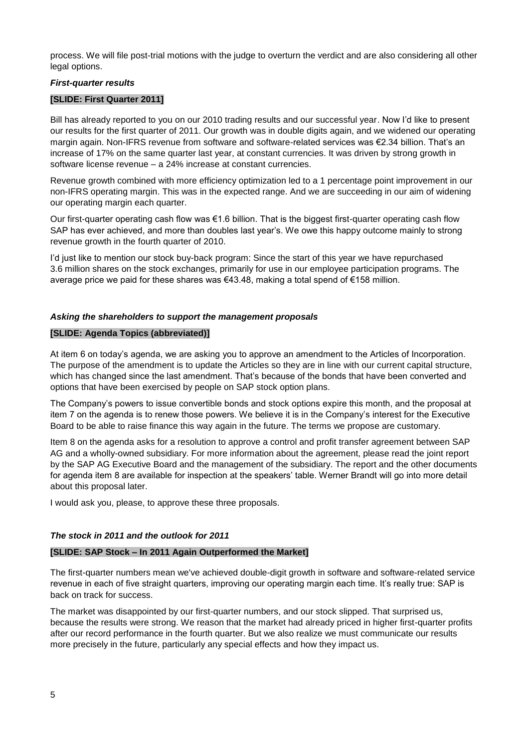process. We will file post-trial motions with the judge to overturn the verdict and are also considering all other legal options.

## *First-quarter results*

## **[SLIDE: First Quarter 2011]**

Bill has already reported to you on our 2010 trading results and our successful year. Now I'd like to present our results for the first quarter of 2011. Our growth was in double digits again, and we widened our operating margin again. Non-IFRS revenue from software and software-related services was €2.34 billion. That's an increase of 17% on the same quarter last year, at constant currencies. It was driven by strong growth in software license revenue – a 24% increase at constant currencies.

Revenue growth combined with more efficiency optimization led to a 1 percentage point improvement in our non-IFRS operating margin. This was in the expected range. And we are succeeding in our aim of widening our operating margin each quarter.

Our first-quarter operating cash flow was €1.6 billion. That is the biggest first-quarter operating cash flow SAP has ever achieved, and more than doubles last year's. We owe this happy outcome mainly to strong revenue growth in the fourth quarter of 2010.

I'd just like to mention our stock buy-back program: Since the start of this year we have repurchased 3.6 million shares on the stock exchanges, primarily for use in our employee participation programs. The average price we paid for these shares was €43.48, making a total spend of €158 million.

# *Asking the shareholders to support the management proposals*

## **[SLIDE: Agenda Topics (abbreviated)]**

At item 6 on today's agenda, we are asking you to approve an amendment to the Articles of Incorporation. The purpose of the amendment is to update the Articles so they are in line with our current capital structure, which has changed since the last amendment. That's because of the bonds that have been converted and options that have been exercised by people on SAP stock option plans.

The Company's powers to issue convertible bonds and stock options expire this month, and the proposal at item 7 on the agenda is to renew those powers. We believe it is in the Company's interest for the Executive Board to be able to raise finance this way again in the future. The terms we propose are customary.

Item 8 on the agenda asks for a resolution to approve a control and profit transfer agreement between SAP AG and a wholly-owned subsidiary. For more information about the agreement, please read the joint report by the SAP AG Executive Board and the management of the subsidiary. The report and the other documents for agenda item 8 are available for inspection at the speakers' table. Werner Brandt will go into more detail about this proposal later.

I would ask you, please, to approve these three proposals.

# *The stock in 2011 and the outlook for 2011*

## **[SLIDE: SAP Stock – In 2011 Again Outperformed the Market]**

The first-quarter numbers mean we've achieved double-digit growth in software and software-related service revenue in each of five straight quarters, improving our operating margin each time. It's really true: SAP is back on track for success.

The market was disappointed by our first-quarter numbers, and our stock slipped. That surprised us, because the results were strong. We reason that the market had already priced in higher first-quarter profits after our record performance in the fourth quarter. But we also realize we must communicate our results more precisely in the future, particularly any special effects and how they impact us.